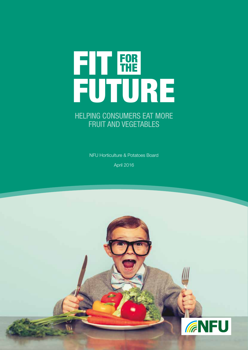

### HELPING CONSUMERS EAT MORE FRUIT AND VEGETABLES

NFU Horticulture & Potatoes Board

April 2016

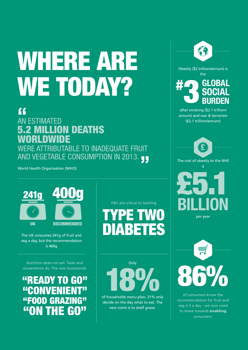# WHERE ARE WE TODAY?

## **"**

## AN ESTIMATED 5.2 MILLION DEATHS WORLDWIDE WERE ATTRIBUTABLE TO INADEQUATE FRUIT AND VEGETABLE CONSUMPTION IN 2013. **"**

World Health Organisation (WHO)



The UK consumes 241g of fruit and veg a day, but the recommendation is 400g

Nutrition does not sell. Taste and convenience do. The new buzzwords:

## **"REA** "CONVEI "FOOD GRAZING "ON THE GO"

F&V are critical to tackling PE DIABETES

**Only** of households menu plan, 31% only

decide on the day what to eat. The new norm is to shelf graze.







of consumers know the recommendation for fruit and veg is 5 a day - we now need to move towards **enabling** consumers.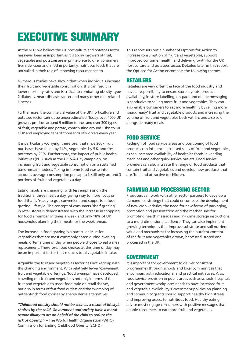## EXECUTIVE SUMMARY

At the NFU, we believe the UK horticulture and potatoes sector has never been as important as it is today. Growers of fruit, vegetables and potatoes are in prime place to offer consumers fresh, delicious and, most importantly, nutritious foods that are unrivalled in their role of improving consumer health.

Numerous studies have shown that when individuals increase their fruit and vegetable consumption, this can result in lower mortality rates and is critical to combating obesity, type 2 diabetes, heart disease, cancer and many other diet related illnesses.

Furthermore, the commercial value of the UK horticulture and potatoes sector cannot be underestimated. Today, over 4000 UK growers produce around 9 million tonnes and over 300 types of fruit, vegetable and potato, contributing around £3bn to UK GDP and employing tens of thousands of workers every year.

It is particularly worrying, therefore, that since 2007 fruit purchases have fallen by 14%, vegetables by 5% and fresh potatoes by 20%. Furthermore, the impact of public health initiatives (PHI), such as the UK 5-A-Day campaign, on increasing fruit and vegetable consumption on a sustained basis remain modest. Taking in-home food waste into account, average consumption per capita is still only around 3 portions of fruit and vegetables a day.

Eating habits are changing, with less emphasis on the traditional three meals a day, giving way to more focus on food that is 'ready to go', convenient and supports a 'food grazing' lifestyle. The concept of consumers 'shelf-grazing' in retail stores is demonstrated with the increase in shopping for food a number of times a week and only 18% of UK households planning their meals for the week ahead.

The increase in food grazing is a particular issue for vegetables that are most commonly eaten during evening meals, often a time of day when people choose to eat a meal replacement. Therefore, food choices at this time of day may be an important factor that reduces total vegetable intake.

Arguably, the fruit and vegetables sector has not kept up with this changing environment. With relatively fewer 'convenient' fruit and vegetable offerings, 'food swamps' have developed, crowding out fruit and vegetables not only in terms of the fruit and vegetable to snack food ratio on retail shelves, but also in terms of fast food outlets and the swamping of nutrient-rich food choices by energy dense alternatives.

*"Childhood obesity should not be seen as a result of lifestyle choices by the child. Government and society have a moral responsibility to act on behalf of the child to reduce the risk of obesity." –* The World Health Organisation (WHO) Commission for Ending Childhood Obesity (ECHO)

This report sets out a number of Options for Action to increase consumption of fruit and vegetables, support improved consumer health, and deliver growth for the UK horticulture and potatoes sector. Detailed later in this report, the Options for Action encompass the following themes:

### RETAILERS

Retailers are very often the face of the food industry and have a responsibility to ensure store layouts, product availability, in-store labelling, on-pack and online messaging is conducive to selling more fruit and vegetables. They can also enable consumers to eat more healthily by selling more 'snack ready' fruit and vegetable products and increasing the volume of fruit and vegetables both within, and also sold alongside ready meals.

### FOOD SERVICE

Redesign of food service areas and positioning of food products can influence increased sales of fruit and vegetables, as can increased availability of healthier foods in vending machines and other quick service outlets. Food service providers can also increase the range of food products that contain fruit and vegetables and develop new products that are 'fun' and attractive to children.

### FARMING AND PROCESSING SECTOR

Producers can work with other sector partners to develop a demand led strategy that could encompass the development of new crop varieties, the need for new forms of packaging, promotion and presentation and the mechanisms for promoting health messages and in-home storage instructions to a multi-dimensional audience. They can also implement growing techniques that improve substrate and soil nutrient value and mechanisms for increasing the nutrient content of the fruit and vegetables grown, harvested, stored and processed in the UK.

### GOVERNMENT

It is important for government to deliver consistent programmes through schools and local communities that encompass both educational and practical initiatives. Also, food service provision in public areas such as schools, hospitals and government workplaces needs to have increased fruit and vegetable availability. Government policies on planning and community grants should support healthy high streets and improving access to nutritious food. Healthy eating advice must engage consumers with positive messages that enable consumers to eat more fruit and vegetables.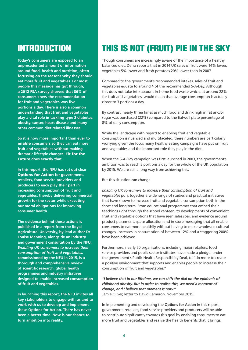## INTRODUCTION

**Today's consumers are exposed to an unprecedented amount of information around food, health and nutrition, often focussing on the reasons** why **they should eat more fruit and vegetables. For most people this message has got through, a 2012 FSA survey showed that 86% of consumers knew the recommendation for fruit and vegetables was five portions a day. There is also a common understanding that fruit and vegetables play a vital role in tackling type 2 diabetes, obesity, cancer, heart disease and many other common diet related illnesses.**

**So it is now more important than ever to**  enable **consumers so they can eat more fruit and vegetables without making dramatic lifestyle changes.** Fit for the Future **does exactly that.**

**In this report, the NFU has set out clear**  Options for Action **for government, retailers, food service providers and producers to each play their part in increasing consumption of fruit and vegetables, thereby delivering commercial growth for the sector while executing our moral obligations for improving consumer health.**

**The evidence behind these actions is published in a report from the Royal Agricultural University, by lead author Dr Louise Manning, alongside an industry and government consultation by the NFU.**  *Enabling UK consumers to increase their consumption of fruit and vegetables,* **commissioned by the NFU in 2015, is a thorough and comprehensive review of scientific research, global health programmes and industry initiatives designed to enable increased consumption of fruit and vegetables.**

**In launching this report, the NFU invites all key stakeholders to engage with us and to work with us to develop and implement these Options for Action. There has never been a better time. Now is our chance to turn ambition into reality.**

## THIS IS NOT (FRUIT) PIE IN THE SKY

Though consumers are increasingly aware of the importance of a healthy balanced diet, Defra reports that in 2014 UK sales of fruit were 14% lower, vegetables 5% lower and fresh potatoes 20% lower than in 2007.

Compared to the government's recommended intakes, sales of fruit and vegetables equate to around 4 of the recommended 5-A-Day. Although this does not take into account in-home food waste which, at around 22% for fruit and vegetables, would mean that average consumption is actually closer to 3 portions a day.

By contrast, nearly three times as much food and drink high in fat and/or sugar was purchased (22%) compared to the Eatwell plate percentage of 8% of daily consumption.

While the landscape with regard to enabling fruit and vegetable consumption is nuanced and multifaceted, these numbers are particularly worrying given the focus many healthy eating campaigns have put on fruit and vegetables and the important role they play in the diet.

When the 5-A-Day campaign was first launched in 2003, the government's ambition was to reach 5 portions a day for the whole of the UK population by 2015. We are still a long way from achieving this.

But this situation **can** change.

*Enabling UK consumers to increase their consumption of fruit and vegetables* pulls together a wide range of studies and practical initiatives that have shown to increase fruit and vegetable consumption both in the short and long term. From educational programmes that embed their teachings right through the school canteen, to developments of convenient fruit and vegetable options that have seen sales soar, and evidence around product placement, space allocation and in-store messaging that all enable consumers to eat more healthily without having to make wholesale cultural changes, increases in consumption of between 12% and a staggering 200% have been achieved.

Furthermore, nearly 50 organisations, including major retailers, food service providers and public sector institutes have made a pledge, under the government's Public Health Responsibility Deal, to "do more to create a positive environment that supports and enables people to increase their consumption of fruit and vegetables."

*"I believe that in our lifetime, we can shift the dial on the epidemic of childhood obesity. But in order to realise this, we need a moment of change, and I believe that moment is now."* Jamie Oliver, letter to David Cameron, November 2015.

In implementing and developing the **Options for Action** in this report, government, retailers, food service providers and producers will be able to contribute significantly towards this goal by **enabling** consumers to eat more fruit and vegetables and realise the health benefits that it brings.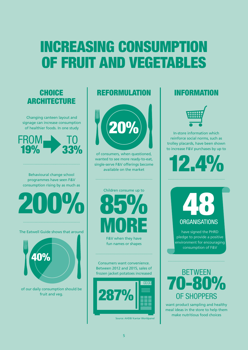## INCREASING CONSUMPTION OF FRUIT AND VEGETABLES

### CHOICE ARCHITECTURE

Changing canteen layout and signage can increase consumption of healthier foods. In one study



Behavioural change school programmes have seen F&V consumption rising by as much as

200%

The Eatwell Guide shows that around



of our daily consumption should be fruit and veg.

### REFORMULATION INFORMATION



of consumers, when questioned, wanted to see more ready-to-eat, single-serve F&V offerings become available on the market



F&V when they have fun names or shapes

Consumers want convenience. Between 2012 and 2015, sales of frozen jacket potatoes increased BETWEEN



Source: AHDB/ Kantar Worldpanel



In-store information which reinforce social norms, such as trolley placards, have been shown to increase F&V purchases by up to

 $2.4$ 

48 ORGANISATIONS

have signed the PHRD pledge to provide a positive environment for encouraging consumption of F&V

## **9** OF SHOPPERS

want product sampling and healthy meal ideas in the store to help them make nutritious food choices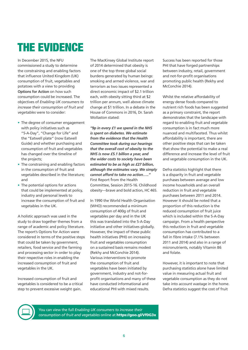## THE EVIDENCE

In December 2015, the NFU commissioned a study to determine the constraining and enabling factors that influence United Kingdom (UK) consumption of fruit, vegetables and potatoes with a view to providing **Options for Action** on how such consumption could be increased. The objectives of *Enabling UK consumers to increase their consumption of fruit and vegetables* were to consider:

- The degree of consumer engagement with policy initiatives such as "5-A-Day", "Change for Life" and the "Eatwell plate" (now Eatwell Guide) and whether purchasing and consumption of fruit and vegetables has changed over the timeline of the projects;
- The constraining and enabling factors in the consumption of fruit and vegetables described in the literature; and
- The potential options for actions that could be implemented at policy, industry and personal levels to increase the consumption of fruit and vegetables in the UK.

A holistic approach was used in the study to draw together themes from a range of academic and policy literature. The report's Options for Action were considered in terms of the positive steps that could be taken by government, retailers, food service and the farming and processing sector in order to play their respective roles in enabling the increased consumption of fruit and vegetables in the UK.

Increased consumption of fruit and vegetables is considered to be a critical step to prevent excessive weight gain.

The MacKinsey Global Institute report of 2014 determined that obesity is one of the top three global social burdens generated by human beings: smoking and armed violence, war and terrorism as two issues represented a direct economic impact of \$2.1 trillion each, with obesity sitting third at \$2 trillion per annum, well above climate change at \$1 trillion. In a debate in the House of Commons in 2016, Dr. Sarah Wollaston stated:

*"9p in every £1 we spend in the NHS is spent on diabetes. We estimate from the evidence that the Health Committee took during our hearings that the overall cost of obesity to the NHS is now £5.1 billion a year, and the wider costs to society have been estimated to be as high as £27 billion, although the estimates vary. We simply cannot afford to take no action….."* First Report from the Health Committee, Session 2015-16. Childhood obesity—brave and bold action, HC 465.

In 1990 the World Health Organisation (WHO) recommended a minimum consumption of 400g of fruit and vegetables per day and in the UK this was translated into the 5-A-Day initiative and other initiatives globally. However, the impact of these public health initiatives (PHI) on increasing fruit and vegetables consumption on a sustained basis remains modest (Rekhy and McConchie 2014). Various interventions to promote the consumption of fruit and vegetables have been initiated by government, industry and not-forprofit organisations and many of these have conducted informational and educational PHI with mixed results.

Success has been reported for those PHI that have forged partnerships between industry, retail, government and not-for-profit organisations promoting public health (Rekhy and McConchie 2014).

Whilst the relative affordability of energy dense foods compared to nutrient rich foods has been suggested as a primary constraint, the report demonstrates that the landscape with regard to enabling fruit and vegetable consumption is in fact much more nuanced and multifaceted. Thus whilst affordability is important, there are other positive steps that can be taken that show the potential to make a real difference and increase the level of fruit and vegetable consumption in the UK.

Defra statistics highlight that there is a disparity in fruit and vegetable purchases between average and low income households and an overall reduction in fruit and vegetable purchases between 2011 and 2014. However it should be noted that a proportion of this reduction is the reduced consumption of fruit juice which is included within the 5-A-Day campaign. From a health perspective this reduction in fruit and vegetable consumption has contributed to a fall in fibre intake (7.1% between 2011 and 2014) and also in a range of micronutrients, notably Vitamin B6 and folate.

However, it is important to note that purchasing statistics alone have limited value in measuring actual fruit and vegetable consumption as they do not take into account wastage in the home. Defra statistics suggest the cost of fruit



You can view the full *Enabling UK consumers to increase their consumption of fruit and vegetables* online at https://goo.gl/Vf0G3x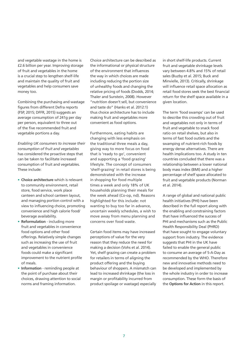and vegetable wastage in the home is £2.6 billion per year. Improving storage of fruit and vegetables in the home is a crucial step to lengthen shelf-life and maintain the quality of fruit and vegetables and help consumers save money too.

Combining the purchasing and wastage figures from different Defra reports (FSP, 2015; DFFR, 2015) suggests an average consumption of 241g per day per person, equivalent to three out of the five recommended fruit and vegetable portions a day.

*Enabling UK consumers to increase their consumption of fruit and vegetables* has considered the proactive steps that can be taken to facilitate increased consumption of fruit and vegetables. These include:

- **Choice architecture** which is relevant to community environment, retail store, food service, work place canteen and school canteen layout, and managing portion control with a view to influencing choice, promoting convenience and high calorie food/ beverage availability.
- **Reformulation** including more fruit and vegetables in convenience food options and other food offerings. Relatively simple changes such as increasing the use of fruit and vegetables in convenience foods could make a significant improvement to the nutrient profile of meals.
- **Information** reminding people at the point of purchase about their choices, drawing attention to social norms and framing information.

Choice architecture can be described as the informational or physical structure of the environment that influences the way in which choices are made including reducing the portion size of unhealthy foods and changing the relative pricing of foods (Dodds, 2014; Thaler and Sunstein, 2008). However "nutrition doesn't sell, but convenience and taste do" (Hanks et al. 2012:1) thus choice architecture has to include making fruit and vegetables more convenient as food options.

Furthermore, eating habits are changing with less emphasis on the traditional three meals a day, giving way to more focus on food that is 'ready to go', convenient and supporting a 'food grazing' lifestyle. The concept of consumers 'shelf-grazing' in retail stores is being demonstrated with the increase in shopping for food multiple times a week and only 18% of UK households planning their meals for the week ahead (Co-op, nd). Reasons highlighted for this include: not wanting to buy too far in advance, uncertain weekly schedules, a wish to move away from menu planning and concerns over food waste.

Certain food items may have increased perceptions of value for the very reason that they reduce the need for making a decision (Vohs et al. 2014). Yet, shelf grazing can create a problem for retailers in terms of aligning the product offering and the buying behaviour of shoppers. A mismatch can lead to increased shrinkage (the loss in margin or profitability incurred from product spoilage or wastage) especially in short shelf-life products. Current fruit and vegetable shrinkage levels vary between 4.8% and 15% of retail sales (Buzby et al. 2015; Buck and Minvielle, 2013). Critically, shrinkage will influence retail space allocation as retail food stores seek the best financial return for the shelf space available in a given location.

The term 'food swamps' can be used to describe this crowding out of fruit and vegetables not only in terms of fruit and vegetable to snack food ratio on retail shelves, but also in terms of fast food outlets and the swamping of nutrient-rich foods by energy dense alternatives. There are health implications too. A study in ten countries concluded that there was a relationship between a lower national body mass index (BMI) and a higher percentage of shelf space allocated to fruit and vegetable products (Norman et al. 2014).

A range of global and national public health initiatives (PHI) have been described in the full report along with the enabling and constraining factors that have influenced the success of PHI and mechanisms such as the Public Health Responsibility Deal (PHRD) that have sought to engage voluntary support from industry. The evidence suggests that PHI in the UK have failed to enable the general public to consume an average of 5-A-Day as recommended by the WHO. Therefore new and innovative methods need to be developed and implemented by the whole industry in order to increase consumption. These form the basis of the **Options for Action** in this report.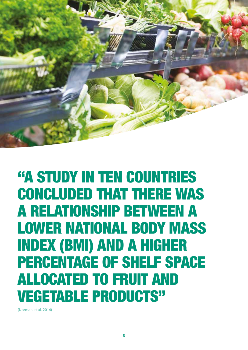

"A STUDY IN TEN COUNTRIES CONCLUDED THAT THERE WAS A RELATIONSHIP BETWEEN A LOWER NATIONAL BODY MASS INDEX (BMI) AND A HIGHER PERCENTAGE OF SHELF SPACE ALLOCATED TO FRUIT AND VEGETABLE PRODUCTS"

(Norman et al. 2014)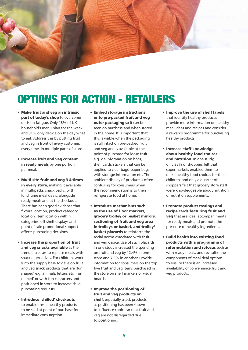## OPTIONS FOR ACTION - RETAILERS

- Make fruit and veg an intrinsic part of today's shop to overcome decision fatigue. Only 18% of UK household's menu plan for the week, and 31% only decide on the day what to eat. Address this by putting fruit and veg in front of every customer, every time, in multiple parts of store.
- Increase fruit and veg content in ready meals by one portion per meal.
- Multi-site fruit and veg 3-4 times in every store, making it available in multipacks, snack packs, with lunchtime meal deals, alongside ready meals and at the checkout. There has been good evidence that fixture location, product category location, item location within categories, off-shelf displays and point of sale promotional support affects purchasing decisions.
- Increase the proportion of fruit and veg snacks available as the trend increases to replace meals with snack alternatives. For children, work with the supply base to develop fruit and veg snack products that are 'fun shaped' e.g. animals, letters etc. 'fun named' or with fun characters and positioned in store to increase child purchasing requests.
- Introduce 'chilled' checkouts to enable fresh, healthy products to be sold at point of purchase for immediate consumption.
- Embed storage instructions onto pre-packed fruit and veg outer packaging so it can be seen on purchase and when stored in the home. It is important that this is visible when the packaging is still intact on pre-packed fruit and veg and is available at the point of purchase for loose fruit e.g. via information on bags, shelf cards, stickers that can be applied to clear bags, paper bags with storage information etc. The ambient display of produce is often confusing for consumers when the recommendation is to then refrigerate food at home.
- Introduce mechanisms such as the use of floor markers, grocery trolley or basket mirrors, sectioning of fruit and veg area in trolleys or basket, and trolley/ **basket placards** to reinforce the social norms associated with fruit and veg choice. Use of such placards in one study increased the spending on fruit and veg by 12.4% in one store and 7.5% in another. Provide information for consumers on the top five fruit and veg items purchased in the store on shelf markers or visual boards.
- Improve the positioning of fruit and veg products on shelf, especially snack products as positioning has been shown to influence choice so that fruit and veg are not disregarded due to positioning.
- Improve the use of shelf labels that identify healthy products, provide more information on healthy meal ideas and recipes and consider a rewards programme for purchasing healthy products.
- Increase staff knowledge about healthy food choices and nutrition. In one study, only 35% of shoppers felt that supermarkets enabled them to make healthy food choices for their children, and only a quarter of shoppers felt that grocery store staff were knowledgeable about nutrition or nutrition supplements.
- Promote product tastings and recipe cards featuring fruit and veg that are ideal accompaniments for ready-meals and promote the presence of healthy ingredients.
- Build health into existing food products with a programme of reformulation and refocus such as with ready-meals, and revitalise the components of meal deal options to ensure there is an increased availability of convenience fruit and veg products.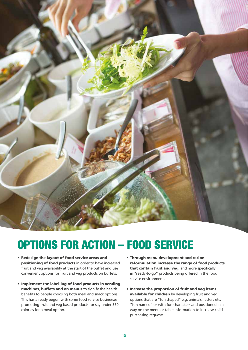

## OPTIONS FOR ACTION – FOOD SERVICE

- Redesign the layout of food service areas and positioning of food products in order to have increased fruit and veg availability at the start of the buffet and use convenient options for fruit and veg products on buffets.
- Implement the labelling of food products in vending machines, buffets and on menus to signify the health benefits to people choosing both meal and snack options. This has already begun with some food service businesses promoting fruit and veg based products for say under 350 calories for a meal option.
- Through menu development and recipe reformulation increase the range of food products that contain fruit and veg, and more specifically in "ready-to-go" products being offered in the food service environment.
- Increase the proportion of fruit and veg items available for children by developing fruit and yeg options that are "fun shaped" e.g. animals, letters etc. "fun named" or with fun characters and positioned in a way on the menu or table information to increase child purchasing requests.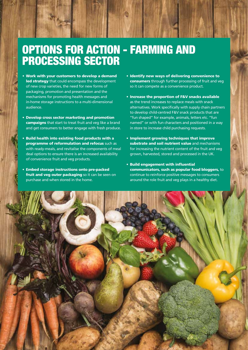## OPTIONS FOR ACTION - FARMING AND PROCESSING SECTOR

- Work with your customers to develop a demand led strategy that could encompass the development of new crop varieties, the need for new forms of packaging, promotion and presentation and the mechanisms for promoting health messages and in-home storage instructions to a multi-dimensional audience.
- Develop cross sector marketing and promotion campaigns that start to treat fruit and veg like a brand and get consumers to better engage with fresh produce.
- Build health into existing food products with a programme of reformulation and refocus such as with ready-meals, and revitalise the components of meal deal options to ensure there is an increased availability of convenience fruit and veg products.
- Embed storage instructions onto pre-packed fruit and veg outer packaging so it can be seen on purchase and when stored in the home.
- Identify new ways of delivering convenience to consumers through further processing of fruit and veg so it can compete as a convenience product.
- Increase the proportion of F&V snacks available as the trend increases to replace meals with snack alternatives. Work specifically with supply chain partners to develop child-centred F&V snack products that are "fun shaped" for example, animals, letters etc. "fun named" or with fun characters and positioned in a way in store to increase child purchasing requests.
- Implement growing techniques that improve substrate and soil nutrient value and mechanisms for increasing the nutrient content of the fruit and veg grown, harvested, stored and processed in the UK.
- Build engagement with influential communicators, such as popular food bloggers, to continue to reinforce positive messages to consumers around the role fruit and veg plays in a healthy diet.

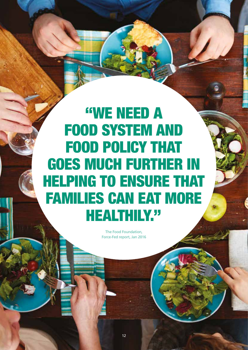## "WE NEED A FOOD SYSTEM AND FOOD POLICY THAT GOES MUCH FURTHER IN HELPING TO ENSURE THAT FAMILIES CAN EAT MORE HEALTHILY."

The Food Foundation, Force-Fed report, Jan 2016

12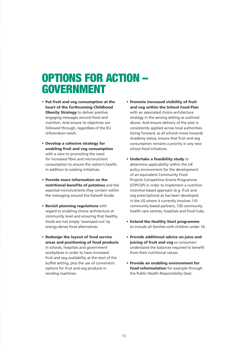## OPTIONS FOR ACTION – GOVERNMENT

- Put fruit and veg consumption at the heart of the forthcoming Childhood **Obesity Strategy** to deliver positive, engaging messages around food and nutrition. And ensure its objectives are followed through, regardless of the EU referendum result.
- Develop a cohesive strategy for enabling fruit and veg consumption with a view to promoting the need for increased fibre and micronutrient consumption to ensure the nation's health, in addition to existing initiatives.
- Provide more information on the nutritional benefits of potatoes and the essential micronutrients they contain within the messaging around the Eatwell Guide.
- Revisit planning regulations with regard to enabling choice architecture at community level and ensuring that healthy foods are not simply 'swamped out' by energy-dense food alternatives.
- Redesign the layout of food service areas and positioning of food products in schools, hospitals and government workplaces in order to have increased fruit and veg availability at the start of the buffet setting, plus the use of convenient options for fruit and veg products in vending machines.
- Promote increased visibility of fruit and veg within the School Food Plan with an associated choice architecture strategy in the serving setting as outlined above. And ensure delivery of the plan is consistently applied across local authorities. Going forward, as all schools move towards Academy status, ensure that fruit and veg consumption remains a priority in any new school food initiatives.
- Undertake a feasibility study to determine applicability within the UK policy environment for the development of an equivalent Community Food Projects Competitive Grants Programme (CFPCGP) in order to implement a nutrition incentive based approach (e.g. fruit and veg prescriptions) as has been developed in the US where it currently involves 110 community based partners, 730 community health care centres, hospitals and food hubs.
- Extend the Healthy Start programme to include all families with children under 16.
- Provide additional advice on juice and juicing of fruit and veg so consumers understand the balances required to benefit from their nutritional values.
- Provide an enabling environment for food reformulation for example through the Public Health Responsibility Deal.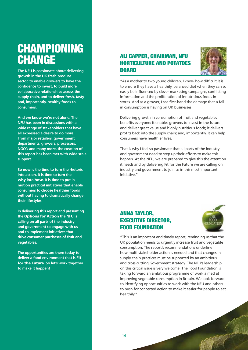## **CHAMPIONING CHANGE**

**The NFU is passionate about delivering growth in the UK fresh produce sector, to enable growers to have the confidence to invest, to build more collaborative relationships across the supply chain, and to deliver fresh, tasty and, importantly, healthy foods to consumers.**

**And we know we're not alone. The NFU has been in discussions with a wide range of stakeholders that have all expressed a desire to do more. From major retailers, government departments, growers, processors, NGO's and many more, the creation of this report has been met with wide scale support.**

**So now is the time to turn the rhetoric into action. It is time to turn the**  why **into** how**. It is time to put in motion practical initiatives that enable consumers to choose healthier foods without having to dramatically change their lifestyles.**

**In delivering this report and presenting the** Options for Action **the NFU is calling on all parts of the industry and government to engage with us and to implement initiatives that drive consumer purchases of fruit and vegetables.**

**The opportunities are there today to deliver a food environment that is** Fit for the Future**. So let's work together to make it happen!** 

### ALI CAPPER, CHAIRMAN, NFU HORTICULTURE AND POTATOES **BOARD**



"As a mother to two young children, I know how difficult it is to ensure they have a healthily, balanced diet when they can so easily be influenced by clever marketing campaigns, conflicting information and the proliferation of innutritious foods in stores. And as a grower, I see first-hand the damage that a fall in consumption is having on UK businesses.

Delivering growth in consumption of fruit and vegetables benefits everyone: it enables growers to invest in the future and deliver great value and highly nutritious foods; it delivers profits back into the supply chain; and, importantly, it can help consumers have healthier lives.

That is why I feel so passionate that all parts of the industry and government need to step up their efforts to make this happen. At the NFU, we are prepared to give this the attention it needs and by delivering Fit for the Future we are calling on industry and government to join us in this most important initiative."

### ANNA TAYLOR, EXECUTIVE DIRECTOR, FOOD FOUNDATION



"This is an important and timely report, reminding us that the UK population needs to urgently increase fruit and vegetable consumption. The report's recommendations underline how multi-stakeholder action is needed and that changes in supply chain practices must be supported by an ambitious and cross-cutting Government strategy. The NFU's leadership on this critical issue is very welcome. The Food Foundation is taking forward an ambitious programme of work aimed at improving vegetable consumption in Britain. We look forward to identifying opportunities to work with the NFU and others to push for concerted action to make it easier for people to eat healthily."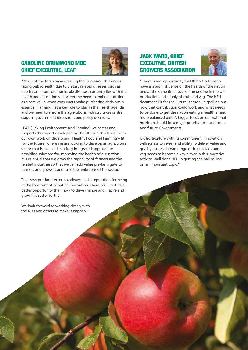### CAROLINE DRUMMOND MBE CHIEF EXECUTIVE, LEAF



"Much of the focus on addressing the increasing challenges facing public health due to dietary related diseases, such as obesity and non-communicable diseases, currently lies with the health and education sector. Yet the need to embed nutrition as a core value when consumers make purchasing decisions is essential. Farming has a key role to play in the health agenda and we need to ensure the agricultural industry takes centre stage in government discussions and policy decisions.

LEAF (Linking Environment And Farming) welcomes and supports this report developed by the NFU which sits well with our own work on developing 'Healthy Food and Farming – fit for the future' where we are looking to develop an agricultural sector that is involved in a fully integrated approach to providing solutions for improving the health of our nation. It is essential that we grow the capability of farmers and the related industries so that we can add value pre-farm gate to farmers and growers and raise the ambitions of the sector.

The fresh produce sector has always had a reputation for being at the forefront of adopting innovation. There could not be a better opportunity than now to drive change and inspire and grow this sector further.

We look forward to working closely with the NFU and others to make it happen."

### JACK WARD, CHIEF EXECUTIVE, BRITISH GROWERS ASSOCIATION



"There is real opportunity for UK horticulture to have a major influence on the health of the nation and at the same time reverse the decline in the UK production and supply of fruit and veg. The NFU document Fit for the Future is crucial in spelling out how that contribution could work and what needs to be done to get the nation eating a healthier and more balanced diet. A bigger focus on our national nutrition should be a major priority for the current and future Governments.

UK horticulture with its commitment, innovation, willingness to invest and ability to deliver value and quality across a broad range of fruit, salads and veg needs to become a key player in this 'must do' activity. Well done NFU in getting the ball rolling on an important topic."